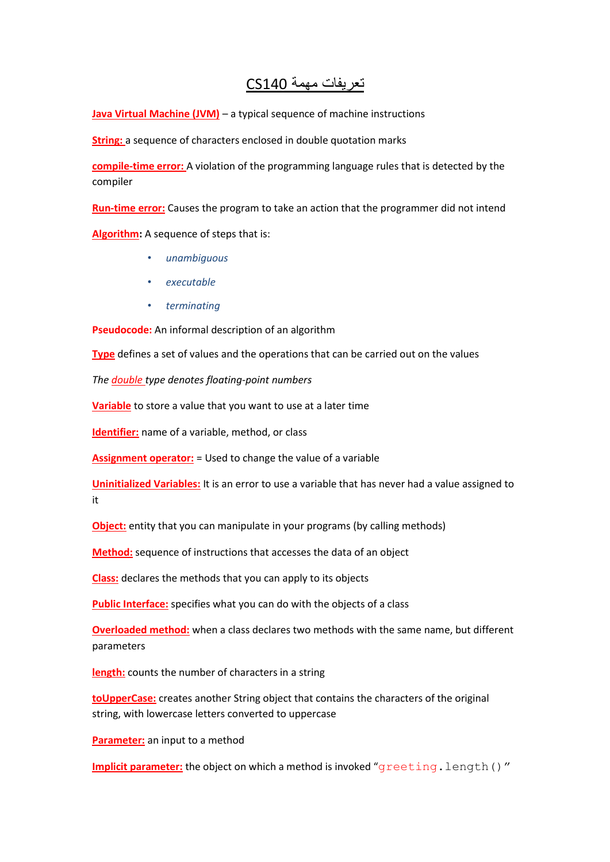## تعريفات مهمة 140CS

**Java Virtual Machine (JVM)** – a typical sequence of machine instructions

**String:** a sequence of characters enclosed in double quotation marks

**compile-time error:** A violation of the programming language rules that is detected by the compiler

**Run-time error:** Causes the program to take an action that the programmer did not intend

**Algorithm:** A sequence of steps that is:

- *unambiguous*
- *executable*
- *terminating*

**Pseudocode:** An informal description of an algorithm

**Type** defines a set of values and the operations that can be carried out on the values

*The double type denotes floating-point numbers*

**Variable** to store a value that you want to use at a later time

**Identifier:** name of a variable, method, or class

**Assignment operator:** = Used to change the value of a variable

**Uninitialized Variables:** It is an error to use a variable that has never had a value assigned to it

**Object:** entity that you can manipulate in your programs (by calling methods)

**Method:** sequence of instructions that accesses the data of an object

**Class:** declares the methods that you can apply to its objects

**Public Interface:** specifies what you can do with the objects of a class

**Overloaded method:** when a class declares two methods with the same name, but different parameters

**length:** counts the number of characters in a string

**toUpperCase:** creates another String object that contains the characters of the original string, with lowercase letters converted to uppercase

**Parameter:** an input to a method

**Implicit parameter:** the object on which a method is invoked "greeting.length()"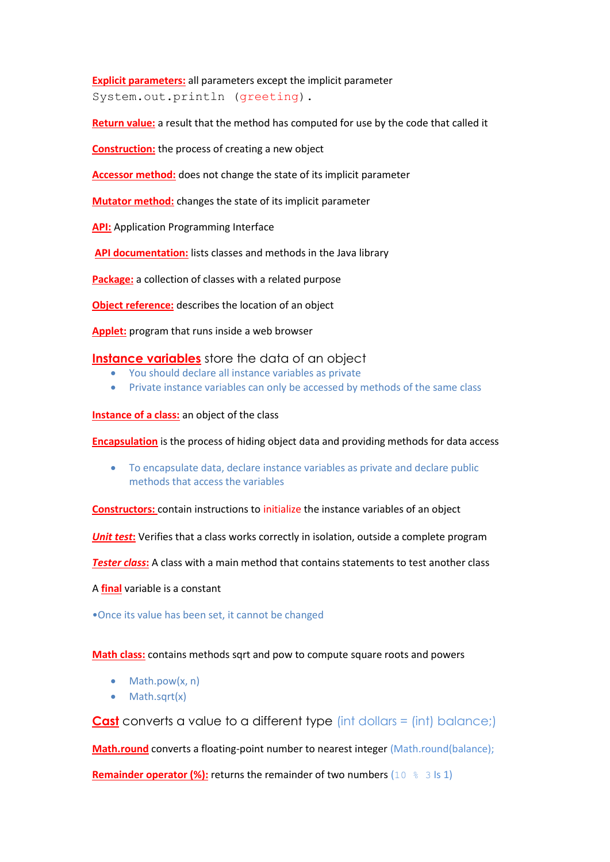**Explicit parameters:** all parameters except the implicit parameter System.out.println (greeting).

**Return value:** a result that the method has computed for use by the code that called it

**Construction:** the process of creating a new object

**Accessor method:** does not change the state of its implicit parameter

**Mutator method:** changes the state of its implicit parameter

**API:** Application Programming Interface

**API documentation:** lists classes and methods in the Java library

**Package:** a collection of classes with a related purpose

**Object reference:** describes the location of an object

**Applet:** program that runs inside a web browser

## **Instance variables** store the data of an object

- You should declare all instance variables as private
- Private instance variables can only be accessed by methods of the same class

**Instance of a class:** an object of the class

**Encapsulation** is the process of hiding object data and providing methods for data access

 To encapsulate data, declare instance variables as private and declare public methods that access the variables

**Constructors:** contain instructions to initialize the instance variables of an object

*Unit test:* Verifies that a class works correctly in isolation, outside a complete program

*Tester class***:** A class with a main method that contains statements to test another class

A **final** variable is a constant

•Once its value has been set, it cannot be changed

## **Math class:** contains methods sqrt and pow to compute square roots and powers

- $\bullet$  Math.pow(x, n)
- Math.sqrt(x)

**Cast** converts a value to a different type (int dollars = (int) balance;)

**Math.round** converts a floating-point number to nearest integer (Math.round(balance);

**Remainder operator (%):** returns the remainder of two numbers (10  $\%$  3 ls 1)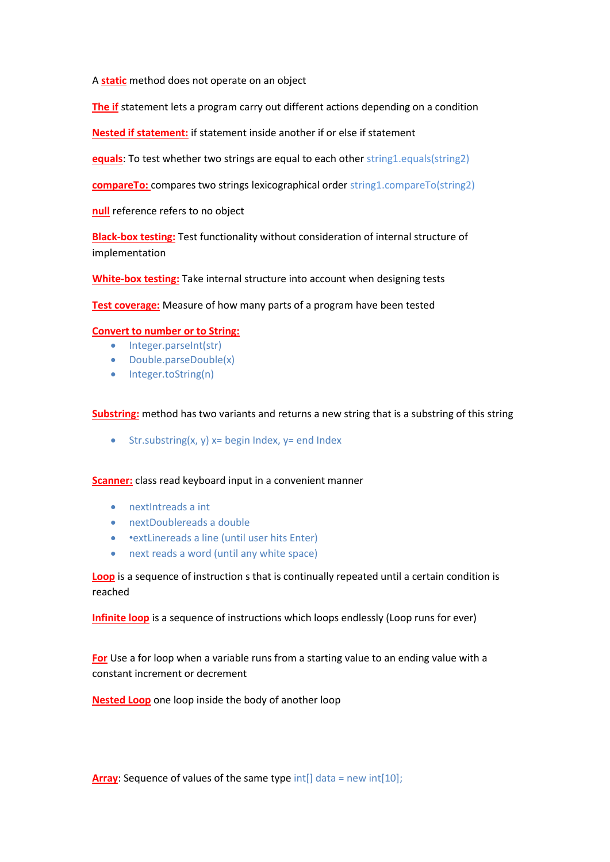A **static** method does not operate on an object

**The if** statement lets a program carry out different actions depending on a condition

**Nested if statement:** if statement inside another if or else if statement

**equals**: To test whether two strings are equal to each other string1.equals(string2)

**compareTo:** compares two strings lexicographical order string1.compareTo(string2)

**null** reference refers to no object

**Black-box testing:** Test functionality without consideration of internal structure of implementation

**White-box testing:** Take internal structure into account when designing tests

**Test coverage:** Measure of how many parts of a program have been tested

## **Convert to number or to String:**

- Integer.parseInt(str)
- Double.parseDouble(x)
- Integer.toString(n)

**Substring:** method has two variants and returns a new string that is a substring of this string

 $\bullet$  Str.substring(x, y) x= begin Index, y= end Index

**Scanner:** class read keyboard input in a convenient manner

- nextIntreads a int
- nextDoublereads a double
- • extLinereads a line (until user hits Enter)
- next reads a word (until any white space)

**Loop** is a sequence of instruction s that is continually repeated until a certain condition is reached

**Infinite loop** is a sequence of instructions which loops endlessly (Loop runs for ever)

**For** Use a for loop when a variable runs from a starting value to an ending value with a constant increment or decrement

**Nested Loop** one loop inside the body of another loop

**Array:** Sequence of values of the same type  $int[$  data = new  $int[10]$ ;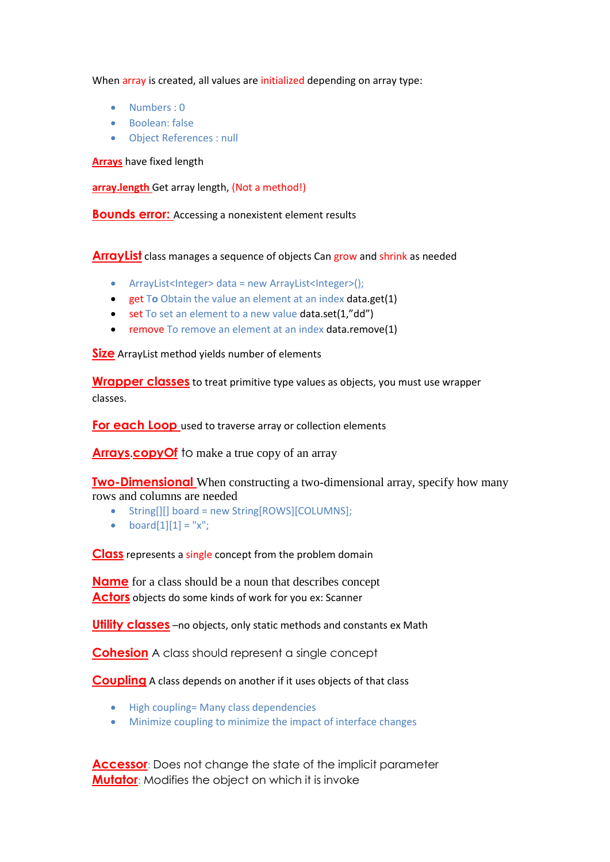When array is created, all values are initialized depending on array type:

- Numbers : 0
- Boolean: false
- Object References : null

**Arrays** have fixed length

**array.length** Get array length, (Not a method!)

**Bounds error:** Accessing a nonexistent element results

**ArrayList** class manages a sequence of objects Can grow and shrink as needed

- ArrayList<Integer> data = new ArrayList<Integer>();
- get T**o** Obtain the value an element at an index data.get(1)
- set To set an element to a new value data.set(1,"dd")
- remove To remove an element at an index data.remove(1)

**Size** ArrayList method yields number of elements

**Wrapper classes** to treat primitive type values as objects, you must use wrapper classes.

**For each Loop** used to traverse array or collection elements

**Arrays copy Of** to make a true copy of an array

**Two-Dimensional** When constructing a two-dimensional array, specify how many rows and columns are needed

- String[][] board = new String[ROWS][COLUMNS];
- $\bullet$  board[1][1] = "x";

**Class** represents a single concept from the problem domain

**Name** for a class should be a noun that describes concept **Actors** objects do some kinds of work for you ex: Scanner

**Utility classes** –no objects, only static methods and constants ex Math

**Cohesion** A class should represent a single concept

**Coupling** A class depends on another if it uses objects of that class

- High coupling= Many class dependencies
- Minimize coupling to minimize the impact of interface changes

**Accessor**: Does not change the state of the implicit parameter **Mutator**: Modifies the object on which it is invoke